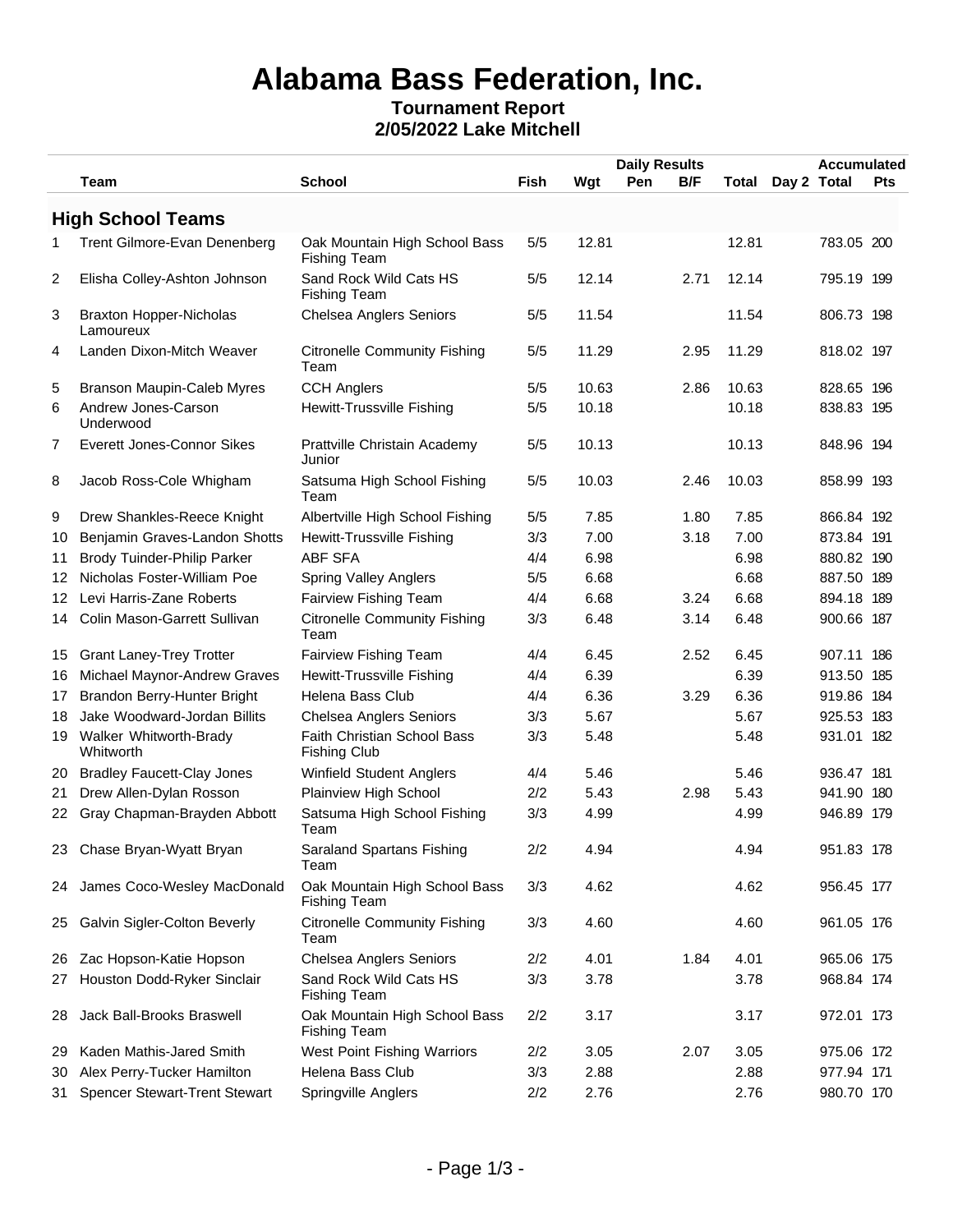# **Alabama Bass Federation, Inc.**

#### **Tournament Report 2/05/2022 Lake Mitchell**

|    |                                             |                                                      |      |       | <b>Daily Results</b> |       |             | <b>Accumulated</b> |            |
|----|---------------------------------------------|------------------------------------------------------|------|-------|----------------------|-------|-------------|--------------------|------------|
|    | <b>Team</b>                                 | <b>School</b>                                        | Fish | Wgt   | B/F<br>Pen           | Total | Day 2 Total |                    | <b>Pts</b> |
|    | <b>High School Teams</b>                    |                                                      |      |       |                      |       |             |                    |            |
| 1  | Trent Gilmore-Evan Denenberg                | Oak Mountain High School Bass<br><b>Fishing Team</b> | 5/5  | 12.81 |                      | 12.81 |             | 783.05 200         |            |
| 2  | Elisha Colley-Ashton Johnson                | Sand Rock Wild Cats HS<br><b>Fishing Team</b>        | 5/5  | 12.14 | 2.71                 | 12.14 |             | 795.19 199         |            |
| 3  | <b>Braxton Hopper-Nicholas</b><br>Lamoureux | <b>Chelsea Anglers Seniors</b>                       | 5/5  | 11.54 |                      | 11.54 |             | 806.73 198         |            |
| 4  | Landen Dixon-Mitch Weaver                   | <b>Citronelle Community Fishing</b><br>Team          | 5/5  | 11.29 | 2.95                 | 11.29 |             | 818.02 197         |            |
| 5  | <b>Branson Maupin-Caleb Myres</b>           | <b>CCH Anglers</b>                                   | 5/5  | 10.63 | 2.86                 | 10.63 |             | 828.65 196         |            |
| 6  | Andrew Jones-Carson<br>Underwood            | Hewitt-Trussville Fishing                            | 5/5  | 10.18 |                      | 10.18 |             | 838.83 195         |            |
| 7  | Everett Jones-Connor Sikes                  | Prattville Christain Academy<br>Junior               | 5/5  | 10.13 |                      | 10.13 |             | 848.96 194         |            |
| 8  | Jacob Ross-Cole Whigham                     | Satsuma High School Fishing<br>Team                  | 5/5  | 10.03 | 2.46                 | 10.03 |             | 858.99 193         |            |
| 9  | Drew Shankles-Reece Knight                  | Albertville High School Fishing                      | 5/5  | 7.85  | 1.80                 | 7.85  |             | 866.84 192         |            |
| 10 | Benjamin Graves-Landon Shotts               | Hewitt-Trussville Fishing                            | 3/3  | 7.00  | 3.18                 | 7.00  |             | 873.84 191         |            |
| 11 | <b>Brody Tuinder-Philip Parker</b>          | <b>ABF SFA</b>                                       | 4/4  | 6.98  |                      | 6.98  |             | 880.82 190         |            |
| 12 | Nicholas Foster-William Poe                 | <b>Spring Valley Anglers</b>                         | 5/5  | 6.68  |                      | 6.68  |             | 887.50 189         |            |
| 12 | Levi Harris-Zane Roberts                    | Fairview Fishing Team                                | 4/4  | 6.68  | 3.24                 | 6.68  |             | 894.18 189         |            |
|    | 14 Colin Mason-Garrett Sullivan             | <b>Citronelle Community Fishing</b><br>Team          | 3/3  | 6.48  | 3.14                 | 6.48  |             | 900.66 187         |            |
| 15 | <b>Grant Laney-Trey Trotter</b>             | Fairview Fishing Team                                | 4/4  | 6.45  | 2.52                 | 6.45  |             | 907.11 186         |            |
| 16 | Michael Maynor-Andrew Graves                | Hewitt-Trussville Fishing                            | 4/4  | 6.39  |                      | 6.39  |             | 913.50 185         |            |
| 17 | Brandon Berry-Hunter Bright                 | Helena Bass Club                                     | 4/4  | 6.36  | 3.29                 | 6.36  |             | 919.86 184         |            |
| 18 | Jake Woodward-Jordan Billits                | <b>Chelsea Anglers Seniors</b>                       | 3/3  | 5.67  |                      | 5.67  |             | 925.53 183         |            |
| 19 | Walker Whitworth-Brady<br>Whitworth         | Faith Christian School Bass<br><b>Fishing Club</b>   | 3/3  | 5.48  |                      | 5.48  |             | 931.01 182         |            |
| 20 | <b>Bradley Faucett-Clay Jones</b>           | Winfield Student Anglers                             | 4/4  | 5.46  |                      | 5.46  |             | 936.47 181         |            |
| 21 | Drew Allen-Dylan Rosson                     | Plainview High School                                | 2/2  | 5.43  | 2.98                 | 5.43  |             | 941.90 180         |            |
|    | 22 Gray Chapman-Brayden Abbott              | Satsuma High School Fishing<br>Team                  | 3/3  | 4.99  |                      | 4.99  |             | 946.89 179         |            |
|    | 23 Chase Bryan-Wyatt Bryan                  | Saraland Spartans Fishing<br>Team                    | 2/2  | 4.94  |                      | 4.94  |             | 951.83 178         |            |
|    | 24 James Coco-Wesley MacDonald              | Oak Mountain High School Bass<br><b>Fishing Team</b> | 3/3  | 4.62  |                      | 4.62  |             | 956.45 177         |            |
| 25 | Galvin Sigler-Colton Beverly                | <b>Citronelle Community Fishing</b><br>Team          | 3/3  | 4.60  |                      | 4.60  |             | 961.05 176         |            |
| 26 | Zac Hopson-Katie Hopson                     | <b>Chelsea Anglers Seniors</b>                       | 2/2  | 4.01  | 1.84                 | 4.01  |             | 965.06 175         |            |
| 27 | Houston Dodd-Ryker Sinclair                 | Sand Rock Wild Cats HS<br><b>Fishing Team</b>        | 3/3  | 3.78  |                      | 3.78  |             | 968.84 174         |            |
| 28 | Jack Ball-Brooks Braswell                   | Oak Mountain High School Bass<br><b>Fishing Team</b> | 2/2  | 3.17  |                      | 3.17  |             | 972.01 173         |            |
| 29 | Kaden Mathis-Jared Smith                    | West Point Fishing Warriors                          | 2/2  | 3.05  | 2.07                 | 3.05  |             | 975.06 172         |            |
| 30 | Alex Perry-Tucker Hamilton                  | Helena Bass Club                                     | 3/3  | 2.88  |                      | 2.88  |             | 977.94 171         |            |
| 31 | <b>Spencer Stewart-Trent Stewart</b>        | Springville Anglers                                  | 2/2  | 2.76  |                      | 2.76  |             | 980.70 170         |            |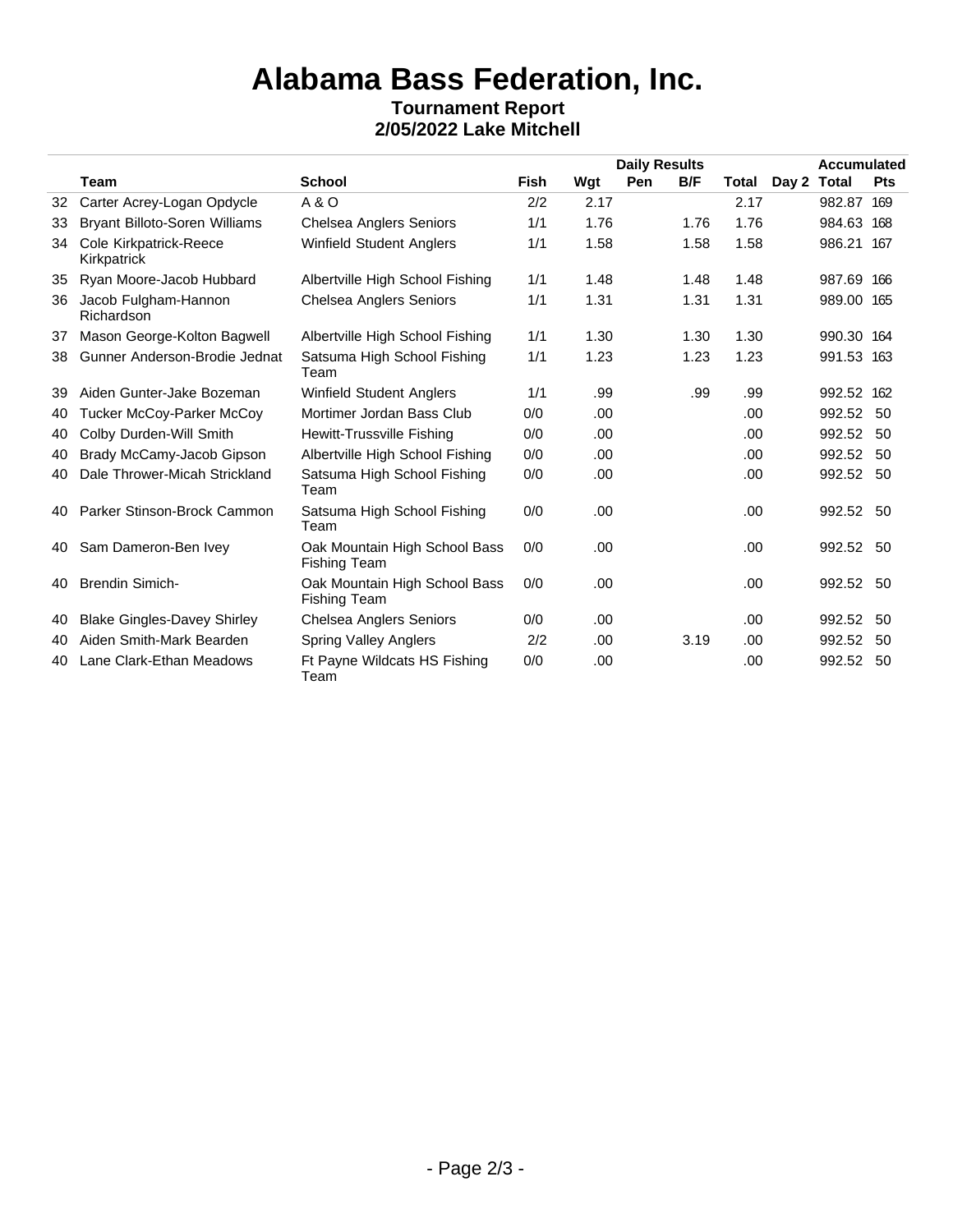## **Alabama Bass Federation, Inc.**

#### **Tournament Report 2/05/2022 Lake Mitchell**

|    |                                       | <b>School</b>                                        | <b>Daily Results</b> |      |            |      |       |       | <b>Accumulated</b> |            |
|----|---------------------------------------|------------------------------------------------------|----------------------|------|------------|------|-------|-------|--------------------|------------|
|    | <b>Team</b>                           |                                                      | <b>Fish</b>          | Wgt  | <b>Pen</b> | B/F  | Total | Day 2 | Total              | <b>Pts</b> |
| 32 | Carter Acrey-Logan Opdycle            | A & O                                                | 2/2                  | 2.17 |            |      | 2.17  |       | 982.87             | 169        |
| 33 | <b>Bryant Billoto-Soren Williams</b>  | <b>Chelsea Anglers Seniors</b>                       | 1/1                  | 1.76 |            | 1.76 | 1.76  |       | 984.63             | 168        |
| 34 | Cole Kirkpatrick-Reece<br>Kirkpatrick | <b>Winfield Student Anglers</b>                      | 1/1                  | 1.58 |            | 1.58 | 1.58  |       | 986.21 167         |            |
| 35 | Ryan Moore-Jacob Hubbard              | Albertville High School Fishing                      | 1/1                  | 1.48 |            | 1.48 | 1.48  |       | 987.69 166         |            |
| 36 | Jacob Fulgham-Hannon<br>Richardson    | <b>Chelsea Anglers Seniors</b>                       | 1/1                  | 1.31 |            | 1.31 | 1.31  |       | 989.00 165         |            |
| 37 | Mason George-Kolton Bagwell           | Albertville High School Fishing                      | 1/1                  | 1.30 |            | 1.30 | 1.30  |       | 990.30 164         |            |
| 38 | Gunner Anderson-Brodie Jednat         | Satsuma High School Fishing<br>Team                  | 1/1                  | 1.23 |            | 1.23 | 1.23  |       | 991.53 163         |            |
| 39 | Aiden Gunter-Jake Bozeman             | <b>Winfield Student Anglers</b>                      | 1/1                  | .99  |            | .99  | .99   |       | 992.52 162         |            |
| 40 | <b>Tucker McCoy-Parker McCoy</b>      | Mortimer Jordan Bass Club                            | 0/0                  | .00. |            |      | .00.  |       | 992.52 50          |            |
| 40 | Colby Durden-Will Smith               | Hewitt-Trussville Fishing                            | 0/0                  | .00. |            |      | .00.  |       | 992.52 50          |            |
| 40 | Brady McCamy-Jacob Gipson             | Albertville High School Fishing                      | 0/0                  | .00. |            |      | .00.  |       | 992.52 50          |            |
| 40 | Dale Thrower-Micah Strickland         | Satsuma High School Fishing<br>Team                  | 0/0                  | .00. |            |      | .00   |       | 992.52 50          |            |
| 40 | Parker Stinson-Brock Cammon           | Satsuma High School Fishing<br>Team                  | 0/0                  | .00. |            |      | .00.  |       | 992.52 50          |            |
| 40 | Sam Dameron-Ben Ivey                  | Oak Mountain High School Bass<br><b>Fishing Team</b> | 0/0                  | .00. |            |      | .00.  |       | 992.52 50          |            |
| 40 | <b>Brendin Simich-</b>                | Oak Mountain High School Bass<br><b>Fishing Team</b> | 0/0                  | .00  |            |      | .00.  |       | 992.52 50          |            |
| 40 | <b>Blake Gingles-Davey Shirley</b>    | <b>Chelsea Anglers Seniors</b>                       | 0/0                  | .00. |            |      | .00.  |       | 992.52             | 50         |
| 40 | Aiden Smith-Mark Bearden              | <b>Spring Valley Anglers</b>                         | 2/2                  | .00  |            | 3.19 | .00.  |       | 992.52             | 50         |
| 40 | Lane Clark-Ethan Meadows              | Ft Payne Wildcats HS Fishing<br>Team                 | 0/0                  | .00. |            |      | .00   |       | 992.52 50          |            |